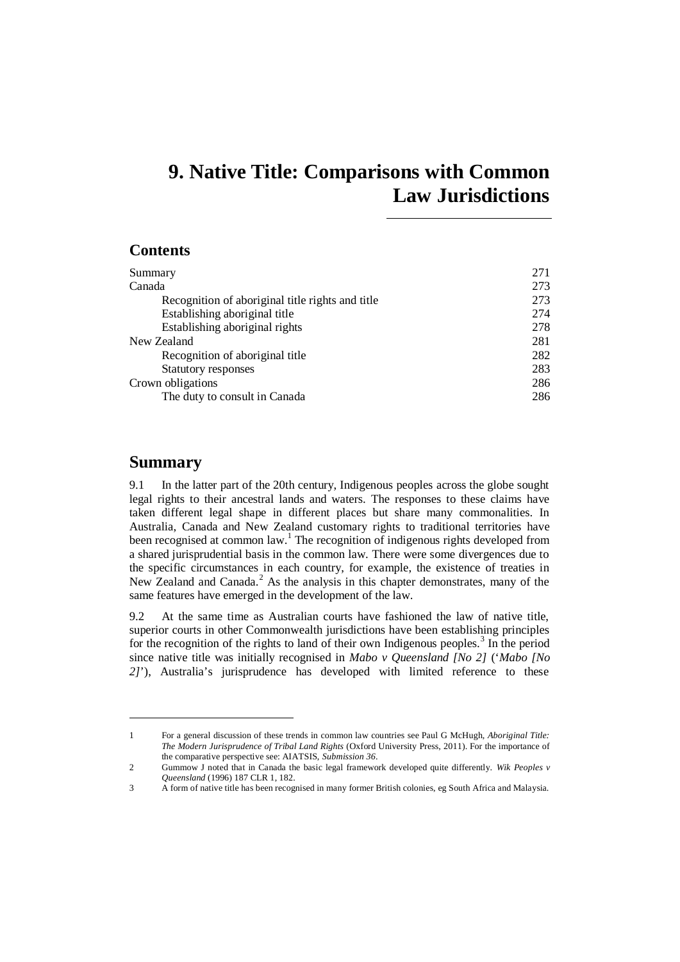# **9. Native Title: Comparisons with Common Law Jurisdictions**

# **Contents**

| Summary                                          | 271 |
|--------------------------------------------------|-----|
| Canada                                           | 273 |
| Recognition of aboriginal title rights and title | 273 |
| Establishing aboriginal title                    | 274 |
| Establishing aboriginal rights                   | 278 |
| New Zealand                                      | 281 |
| Recognition of aboriginal title                  | 282 |
| <b>Statutory responses</b>                       | 283 |
| Crown obligations                                | 286 |
| The duty to consult in Canada                    | 286 |

# <span id="page-0-0"></span>**Summary**

9.1 In the latter part of the 20th century, Indigenous peoples across the globe sought legal rights to their ancestral lands and waters. The responses to these claims have taken different legal shape in different places but share many commonalities. In Australia, Canada and New Zealand customary rights to traditional territories have been recognised at common law[.](#page-0-1)<sup>1</sup> The recognition of indigenous rights developed from a shared jurisprudential basis in the common law. There were some divergences due to the specific circumstances in each country, for example, the existence of treaties in New Zealand and Canada. $<sup>2</sup>$  $<sup>2</sup>$  $<sup>2</sup>$  As the analysis in this chapter demonstrates, many of the</sup> same features have emerged in the development of the law.

9.2 At the same time as Australian courts have fashioned the law of native title, superior courts in other Commonwealth jurisdictions have been establishing principles for the recognition of the rights to land of their own Indigenous peoples.<sup>[3](#page-0-3)</sup> In the period since native title was initially recognised in *Mabo v Queensland [No 2]* ('*Mabo [No 2]*'), Australia's jurisprudence has developed with limited reference to these

<span id="page-0-1"></span><sup>1</sup> For a general discussion of these trends in common law countries see Paul G McHugh, *Aboriginal Title: The Modern Jurisprudence of Tribal Land Rights* (Oxford University Press, 2011). For the importance of the comparative perspective see: AIATSIS, *Submission 36*.

<span id="page-0-2"></span><sup>2</sup> Gummow J noted that in Canada the basic legal framework developed quite differently. *Wik Peoples v Queensland* (1996) 187 CLR 1, 182.

<span id="page-0-3"></span><sup>3</sup> A form of native title has been recognised in many former British colonies, eg South Africa and Malaysia.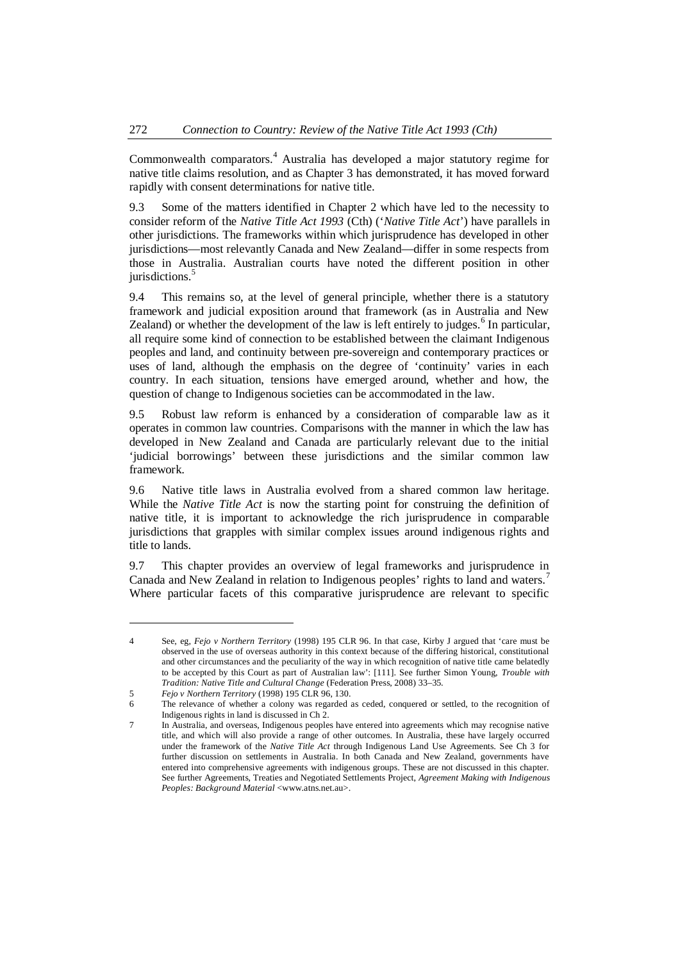Commonwealth comparators.<sup>[4](#page-1-0)</sup> Australia has developed a major statutory regime for native title claims resolution, and as Chapter 3 has demonstrated, it has moved forward rapidly with consent determinations for native title.

9.3 Some of the matters identified in Chapter 2 which have led to the necessity to consider reform of the *Native Title Act 1993* (Cth) ('*Native Title Act*') have parallels in other jurisdictions. The frameworks within which jurisprudence has developed in other jurisdictions—most relevantly Canada and New Zealand—differ in some respects from those in Australia. Australian courts have noted the different position in other jurisdictions.<sup>[5](#page-1-1)</sup>

9.4 This remains so, at the level of general principle, whether there is a statutory framework and judicial exposition around that framework (as in Australia and New Zealand) or whether the development of the law is left entirely to judges[.](#page-1-2)<sup>6</sup> In particular, all require some kind of connection to be established between the claimant Indigenous peoples and land, and continuity between pre-sovereign and contemporary practices or uses of land, although the emphasis on the degree of 'continuity' varies in each country. In each situation, tensions have emerged around, whether and how, the question of change to Indigenous societies can be accommodated in the law.

9.5 Robust law reform is enhanced by a consideration of comparable law as it operates in common law countries. Comparisons with the manner in which the law has developed in New Zealand and Canada are particularly relevant due to the initial 'judicial borrowings' between these jurisdictions and the similar common law framework.

9.6 Native title laws in Australia evolved from a shared common law heritage. While the *Native Title Act* is now the starting point for construing the definition of native title, it is important to acknowledge the rich jurisprudence in comparable jurisdictions that grapples with similar complex issues around indigenous rights and title to lands.

9.7 This chapter provides an overview of legal frameworks and jurisprudence in Canada and New Zealand in relation to Indigenous peoples' rights to land and waters.<sup>[7](#page-1-3)</sup> Where particular facets of this comparative jurisprudence are relevant to specific

<span id="page-1-0"></span><sup>4</sup> See, eg, *Fejo v Northern Territory* (1998) 195 CLR 96. In that case, Kirby J argued that 'care must be observed in the use of overseas authority in this context because of the differing historical, constitutional and other circumstances and the peculiarity of the way in which recognition of native title came belatedly to be accepted by this Court as part of Australian law': [111]. See further Simon Young, *Trouble with Tradition: Native Title and Cultural Change* (Federation Press, 2008) 33–35.

<span id="page-1-1"></span><sup>5</sup> *Fejo v Northern Territory* (1998) 195 CLR 96, 130.

<span id="page-1-2"></span><sup>6</sup> The relevance of whether a colony was regarded as ceded, conquered or settled, to the recognition of Indigenous rights in land is discussed in Ch 2.

<span id="page-1-3"></span>In Australia, and overseas, Indigenous peoples have entered into agreements which may recognise native title, and which will also provide a range of other outcomes. In Australia, these have largely occurred under the framework of the *Native Title Act* through Indigenous Land Use Agreements. See Ch 3 for further discussion on settlements in Australia. In both Canada and New Zealand, governments have entered into comprehensive agreements with indigenous groups. These are not discussed in this chapter. See further Agreements, Treaties and Negotiated Settlements Project, *Agreement Making with Indigenous Peoples: Background Material* <www.atns.net.au>.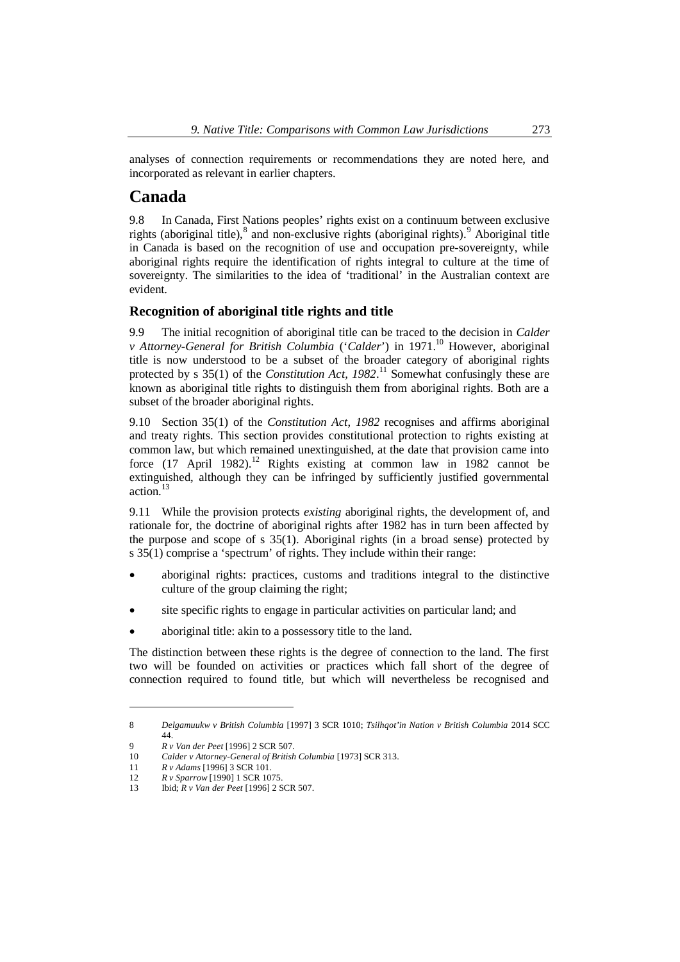analyses of connection requirements or recommendations they are noted here, and incorporated as relevant in earlier chapters.

# <span id="page-2-0"></span>**Canada**

9.8 In Canada, First Nations peoples' rights exist on a continuum between exclusive rights(aboriginal title),  $\delta$  and non-exclusive rights (aboriginal rights).  $\delta$  Aboriginal title in Canada is based on the recognition of use and occupation pre-sovereignty, while aboriginal rights require the identification of rights integral to culture at the time of sovereignty. The similarities to the idea of 'traditional' in the Australian context are evident.

# <span id="page-2-1"></span>**Recognition of aboriginal title rights and title**

9.9 The initial recognition of aboriginal title can be traced to the decision in *Calder v* Attorney-General for British Columbia ('Calder') in 1971.<sup>[10](#page-2-4)</sup> However, aboriginal title is now understood to be a subset of the broader category of aboriginal rights protectedby s 35(1) of the *Constitution Act, 1982*.<sup>11</sup> Somewhat confusingly these are known as aboriginal title rights to distinguish them from aboriginal rights. Both are a subset of the broader aboriginal rights.

9.10 Section 35(1) of the *Constitution Act*, *1982* recognises and affirms aboriginal and treaty rights. This section provides constitutional protection to rights existing at common law, but which remained unextinguished, at the date that provision came into force  $(17 \text{ April } 1982)$ .<sup>[12](#page-2-6)</sup> Rights existing at common law in 1982 cannot be extinguished, although they can be infringed by sufficiently justified governmental action.[13](#page-2-7)

9.11 While the provision protects *existing* aboriginal rights, the development of, and rationale for, the doctrine of aboriginal rights after 1982 has in turn been affected by the purpose and scope of s 35(1). Aboriginal rights (in a broad sense) protected by s 35(1) comprise a 'spectrum' of rights. They include within their range:

- · aboriginal rights: practices, customs and traditions integral to the distinctive culture of the group claiming the right;
- site specific rights to engage in particular activities on particular land; and
- aboriginal title: akin to a possessory title to the land.

The distinction between these rights is the degree of connection to the land. The first two will be founded on activities or practices which fall short of the degree of connection required to found title, but which will nevertheless be recognised and

<span id="page-2-2"></span><sup>8</sup> *Delgamuukw v British Columbia* [1997] 3 SCR 1010; *Tsilhqot'in Nation v British Columbia* 2014 SCC 44.

<span id="page-2-3"></span><sup>9</sup> *R v Van der Peet* [1996] 2 SCR 507.

<span id="page-2-4"></span><sup>10</sup> *Calder v Attorney-General of British Columbia* [1973] SCR 313.

<span id="page-2-5"></span><sup>11</sup> *R v Adams* [1996] 3 SCR 101.

<span id="page-2-6"></span><sup>12</sup> *R v Sparrow* [1990] 1 SCR 1075.

<span id="page-2-7"></span><sup>13</sup> Ibid; *R v Van der Peet* [1996] 2 SCR 507.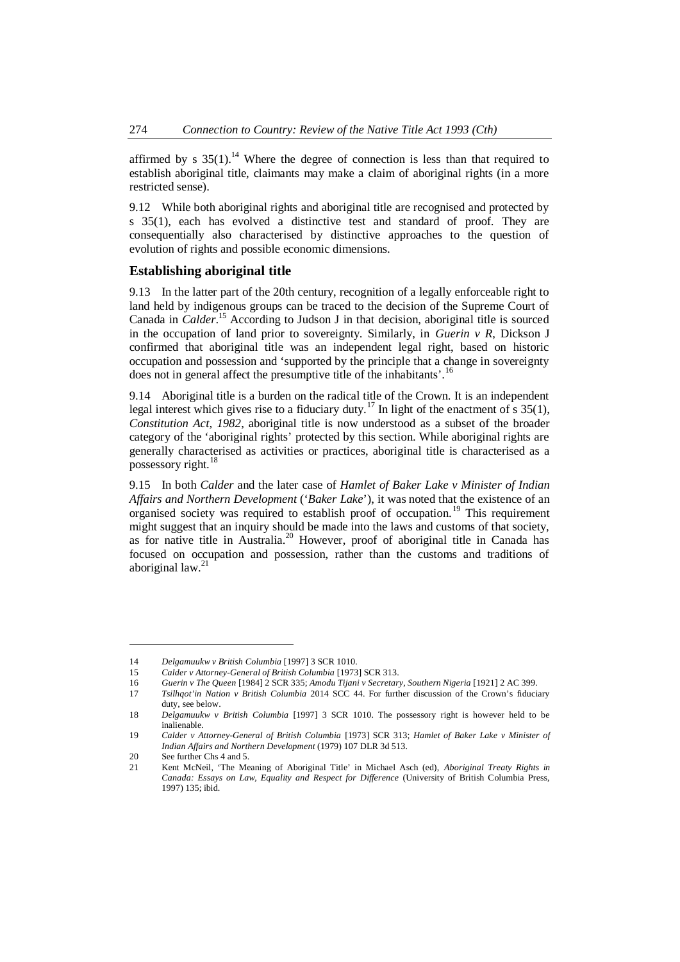affirmedby s  $35(1)$ .<sup>14</sup> Where the degree of connection is less than that required to establish aboriginal title, claimants may make a claim of aboriginal rights (in a more restricted sense).

9.12 While both aboriginal rights and aboriginal title are recognised and protected by s 35(1), each has evolved a distinctive test and standard of proof. They are consequentially also characterised by distinctive approaches to the question of evolution of rights and possible economic dimensions.

### <span id="page-3-0"></span>**Establishing aboriginal title**

9.13 In the latter part of the 20th century, recognition of a legally enforceable right to land held by indigenous groups can be traced to the decision of the Supreme Court of Canada in *Calder*. [15](#page-3-2) According to Judson J in that decision, aboriginal title is sourced in the occupation of land prior to sovereignty. Similarly, in *Guerin v R*, Dickson J confirmed that aboriginal title was an independent legal right, based on historic occupation and possession and 'supported by the principle that a change in sovereignty does not in general affect the presumptive title of the inhabitants'.1[6](#page-3-3)

9.14 Aboriginal title is a burden on the radical title of the Crown. It is an independent legal interest which gives rise to a fiduciary duty.<sup>[17](#page-3-4)</sup> In light of the enactment of s 35(1), *Constitution Act, 1982*, aboriginal title is now understood as a subset of the broader category of the 'aboriginal rights' protected by this section. While aboriginal rights are generally characterised as activities or practices, aboriginal title is characterised as a possessory right.<sup>[18](#page-3-5)</sup>

9.15 In both *Calder* and the later case of *Hamlet of Baker Lake v Minister of Indian Affairs and Northern Development* ('*Baker Lake*'), it was noted that the existence of an organised society was required to establish proof of occupation. [19](#page-3-6) This requirement might suggest that an inquiry should be made into the laws and customs of that society, asfor native title in Australia.<sup>20</sup> However, proof of aboriginal title in Canada has focused on occupation and possession, rather than the customs and traditions of aboriginal  $law.<sup>21</sup>$  $law.<sup>21</sup>$  $law.<sup>21</sup>$ 

<span id="page-3-1"></span><sup>14</sup> *Delgamuukw v British Columbia* [1997] 3 SCR 1010.

<span id="page-3-2"></span><sup>15</sup> *Calder v Attorney-General of British Columbia* [1973] SCR 313.

<span id="page-3-3"></span><sup>16</sup> *Guerin v The Queen* [1984] 2 SCR 335; *Amodu Tijani v Secretary, Southern Nigeria* [1921] 2 AC 399.

<span id="page-3-4"></span><sup>17</sup> *Tsilhqot'in Nation v British Columbia* 2014 SCC 44. For further discussion of the Crown's fiduciary duty, see below.

<span id="page-3-5"></span><sup>18</sup> *Delgamuukw v British Columbia* [1997] 3 SCR 1010. The possessory right is however held to be inalienable.

<span id="page-3-6"></span><sup>19</sup> *Calder v Attorney-General of British Columbia* [1973] SCR 313; *Hamlet of Baker Lake v Minister of Indian Affairs and Northern Development* (1979) 107 DLR 3d 513.

<span id="page-3-7"></span><sup>20</sup> See further Chs 4 and 5.

<span id="page-3-8"></span><sup>21</sup> Kent McNeil, 'The Meaning of Aboriginal Title' in Michael Asch (ed), *Aboriginal Treaty Rights in Canada: Essays on Law, Equality and Respect for Difference* (University of British Columbia Press, 1997) 135; ibid.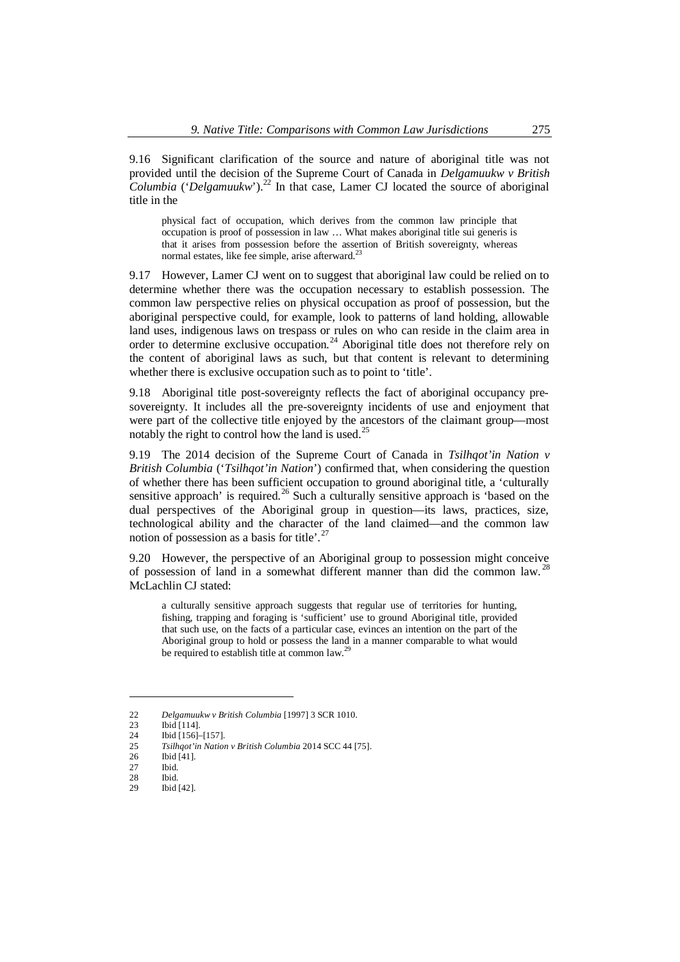9.16 Significant clarification of the source and nature of aboriginal title was not provided until the decision of the Supreme Court of Canada in *Delgamuukw v British Columbia* ('*Delgamuukw*').<sup>[22](#page-4-0)</sup> In that case, Lamer CJ located the source of aboriginal title in the

physical fact of occupation, which derives from the common law principle that occupation is proof of possession in law … What makes aboriginal title sui generis is that it arises from possession before the assertion of British sovereignty, whereas normal estates, like fee simple, arise afterward.<sup>[23](#page-4-1)</sup>

9.17 However, Lamer CJ went on to suggest that aboriginal law could be relied on to determine whether there was the occupation necessary to establish possession. The common law perspective relies on physical occupation as proof of possession, but the aboriginal perspective could, for example, look to patterns of land holding, allowable land uses, indigenous laws on trespass or rules on who can reside in the claim area in order to determine exclusive occupation.<sup>[24](#page-4-2)</sup> Aboriginal title does not therefore rely on the content of aboriginal laws as such, but that content is relevant to determining whether there is exclusive occupation such as to point to 'title'.

9.18 Aboriginal title post-sovereignty reflects the fact of aboriginal occupancy presovereignty. It includes all the pre-sovereignty incidents of use and enjoyment that were part of the collective title enjoyed by the ancestors of the claimant group—most notably the right to control how the land is used. $^{25}$  $^{25}$  $^{25}$ 

9.19 The 2014 decision of the Supreme Court of Canada in *Tsilhqot'in Nation v British Columbia* ('*Tsilhqot'in Nation*') confirmed that, when considering the question of whether there has been sufficient occupation to ground aboriginal title, a 'culturally sensitive approach' is required.<sup>[26](#page-4-4)</sup> Such a culturally sensitive approach is 'based on the dual perspectives of the Aboriginal group in question—its laws, practices, size, technological ability and the character of the land claimed—and the common law notion of possession as a basis for title'.<sup>[27](#page-4-5)</sup>

9.20 However, the perspective of an Aboriginal group to possession might conceive of possession of land in a somewhat different manner than did the common law.<sup>[28](#page-4-6)</sup> McLachlin CJ stated:

a culturally sensitive approach suggests that regular use of territories for hunting, fishing, trapping and foraging is 'sufficient' use to ground Aboriginal title, provided that such use, on the facts of a particular case, evinces an intention on the part of the Aboriginal group to hold or possess the land in a manner comparable to what would be required to establish title at common law.<sup>[29](#page-4-7)</sup>

<span id="page-4-0"></span><sup>22</sup> *Delgamuukw v British Columbia* [1997] 3 SCR 1010.

<span id="page-4-1"></span><sup>23</sup> Ibid [114].<br>24 Ibid [156].

<span id="page-4-2"></span><sup>24</sup> Ibid [156]–[157].

<span id="page-4-3"></span><sup>25</sup> *Tsilhqot'in Nation v British Columbia* 2014 SCC 44 [75].

<span id="page-4-4"></span><sup>26</sup> Ibid [41].<br>27 Ibid. Ibid.

<span id="page-4-6"></span><span id="page-4-5"></span><sup>28</sup> Ibid.

<span id="page-4-7"></span><sup>29</sup> Ibid [42].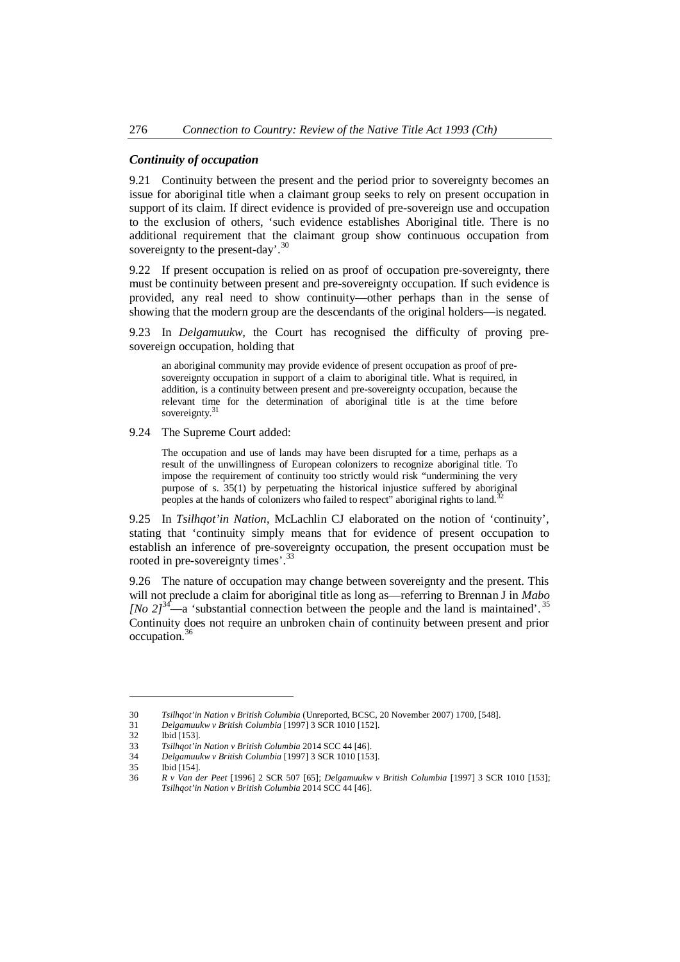#### *Continuity of occupation*

9.21 Continuity between the present and the period prior to sovereignty becomes an issue for aboriginal title when a claimant group seeks to rely on present occupation in support of its claim. If direct evidence is provided of pre-sovereign use and occupation to the exclusion of others, 'such evidence establishes Aboriginal title. There is no additional requirement that the claimant group show continuous occupation from sovereignty to the present-day'.<sup>[30](#page-5-0)</sup>

9.22 If present occupation is relied on as proof of occupation pre-sovereignty, there must be continuity between present and pre-sovereignty occupation. If such evidence is provided, any real need to show continuity—other perhaps than in the sense of showing that the modern group are the descendants of the original holders—is negated.

9.23 In *Delgamuukw,* the Court has recognised the difficulty of proving presovereign occupation, holding that

an aboriginal community may provide evidence of present occupation as proof of presovereignty occupation in support of a claim to aboriginal title. What is required, in addition, is a continuity between present and pre-sovereignty occupation, because the relevant time for the determination of aboriginal title is at the time before sovereignty.<sup>[31](#page-5-1)</sup>

9.24 The Supreme Court added:

The occupation and use of lands may have been disrupted for a time, perhaps as a result of the unwillingness of European colonizers to recognize aboriginal title. To impose the requirement of continuity too strictly would risk "undermining the very purpose of s. 35(1) by perpetuating the historical injustice suffered by aboriginal peoples at the hands of colonizers who failed to respect" aboriginal rights to land.[32](#page-5-2)

9.25 In *Tsilhqot'in Nation*, McLachlin CJ elaborated on the notion of 'continuity', stating that 'continuity simply means that for evidence of present occupation to establish an inference of pre-sovereignty occupation, the present occupation must be rooted in pre-sovereignty times'.<sup>[33](#page-5-3)</sup>

9.26 The nature of occupation may change between sovereignty and the present. This will not preclude a claim for aboriginal title as long as—referring to Brennan J in *Mabo INo 2* $l^{34}$  $l^{34}$  $l^{34}$ —a 'substantial connection between the people and the land is maintained'.<sup>[35](#page-5-5)</sup> Continuity does not require an unbroken chain of continuity between present and prior occupation.<sup>3</sup>

<span id="page-5-0"></span><sup>30</sup> *Tsilhqot'in Nation v British Columbia* (Unreported, BCSC, 20 November 2007) 1700, [548].

<span id="page-5-1"></span><sup>31</sup> *Delgamuukw v British Columbia* [1997] 3 SCR 1010 [152].

<span id="page-5-2"></span>**Ibid [153].** 

<span id="page-5-3"></span><sup>33</sup> *Tsilhqot'in Nation v British Columbia* 2014 SCC 44 [46].

<span id="page-5-4"></span><sup>34</sup> *Delgamuukw v British Columbia* [1997] 3 SCR 1010 [153].

<span id="page-5-5"></span><sup>35</sup> Ibid [154].

<span id="page-5-6"></span><sup>36</sup> *R v Van der Peet* [1996] 2 SCR 507 [65]; *Delgamuukw v British Columbia* [1997] 3 SCR 1010 [153]; *Tsilhqot'in Nation v British Columbia* 2014 SCC 44 [46].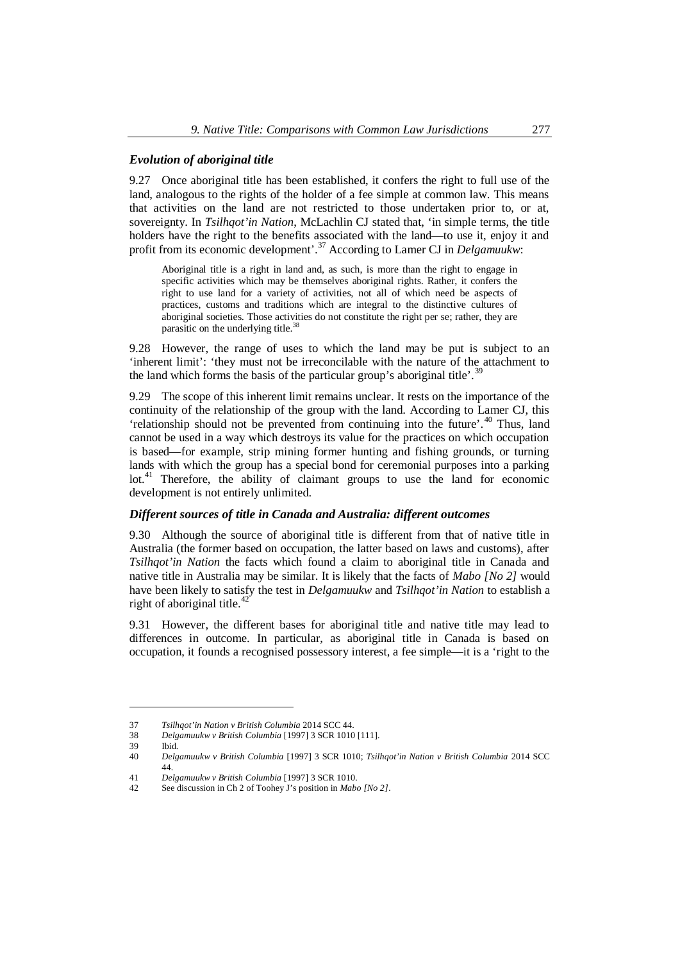### *Evolution of aboriginal title*

9.27 Once aboriginal title has been established, it confers the right to full use of the land, analogous to the rights of the holder of a fee simple at common law. This means that activities on the land are not restricted to those undertaken prior to, or at, sovereignty. In *Tsilhqot'in Nation*, McLachlin CJ stated that, 'in simple terms, the title holders have the right to the benefits associated with the land—to use it, enjoy it and profit from its economic development'.<sup>37</sup> [A](#page-6-0)ccording to Lamer CJ in *Delgamuukw*:

Aboriginal title is a right in land and, as such, is more than the right to engage in specific activities which may be themselves aboriginal rights. Rather, it confers the right to use land for a variety of activities, not all of which need be aspects of practices, customs and traditions which are integral to the distinctive cultures of aboriginal societies. Those activities do not constitute the right per se; rather, they are parasitic on the underlying titl[e.](#page-6-1)<sup>38</sup>

9.28 However, the range of uses to which the land may be put is subject to an 'inherent limit': 'they must not be irreconcilable with the nature of the attachment to the land which forms the basis of the particular group's aboriginal title'.<sup>3</sup>

9.29 The scope of this inherent limit remains unclear. It rests on the importance of the continuity of the relationship of the group with the land. According to Lamer CJ, this 'relationship should not be prevented from continuing into the future'. [40](#page-6-3) Thus, land cannot be used in a way which destroys its value for the practices on which occupation is based—for example, strip mining former hunting and fishing grounds, or turning lands with which the group has a special bond for ceremonial purposes into a parking lot.<sup>[41](#page-6-4)</sup> Therefore, the ability of claimant groups to use the land for economic development is not entirely unlimited.

#### *Different sources of title in Canada and Australia: different outcomes*

9.30 Although the source of aboriginal title is different from that of native title in Australia (the former based on occupation, the latter based on laws and customs), after *Tsilhqot'in Nation* the facts which found a claim to aboriginal title in Canada and native title in Australia may be similar. It is likely that the facts of *Mabo [No 2]* would have been likely to satisfy the test in *Delgamuukw* and *Tsilhqot'in Nation* to establish a right of aboriginal title.<sup>[42](#page-6-5)</sup>

9.31 However, the different bases for aboriginal title and native title may lead to differences in outcome. In particular, as aboriginal title in Canada is based on occupation, it founds a recognised possessory interest, a fee simple—it is a 'right to the

<span id="page-6-0"></span><sup>37</sup> *Tsilhqot'in Nation v British Columbia* 2014 SCC 44.

<span id="page-6-1"></span><sup>38</sup> *Delgamuukw v British Columbia* [1997] 3 SCR 1010 [111].

<span id="page-6-2"></span><sup>39</sup> Ibid.<br>40 *Delg* 

<span id="page-6-3"></span><sup>40</sup> *Delgamuukw v British Columbia* [1997] 3 SCR 1010; *Tsilhqot'in Nation v British Columbia* 2014 SCC 44.

<span id="page-6-4"></span><sup>41</sup> *Delgamuukw v British Columbia* [1997] 3 SCR 1010.

<span id="page-6-5"></span><sup>42</sup> See discussion in Ch 2 of Toohey J's position in *Mabo [No 2]*.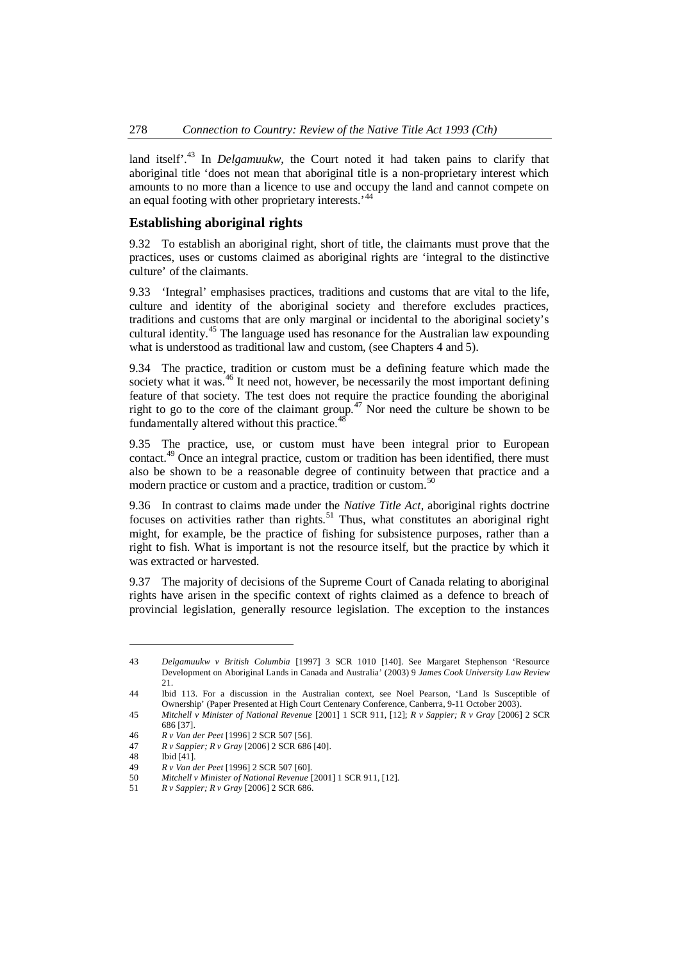land itself<sup>', [43](#page-7-1)</sup> In *Delgamuukw*, the Court noted it had taken pains to clarify that aboriginal title 'does not mean that aboriginal title is a non-proprietary interest which amounts to no more than a licence to use and occupy the land and cannot compete on an equal footing with other proprietary interests.<sup>[44](#page-7-2)</sup>

# <span id="page-7-0"></span>**Establishing aboriginal rights**

9.32 To establish an aboriginal right, short of title, the claimants must prove that the practices, uses or customs claimed as aboriginal rights are 'integral to the distinctive culture' of the claimants.

9.33 'Integral' emphasises practices, traditions and customs that are vital to the life, culture and identity of the aboriginal society and therefore excludes practices, traditions and customs that are only marginal or incidental to the aboriginal society's cultural identity.<sup>[45](#page-7-3)</sup> The language used has resonance for the Australian law expounding what is understood as traditional law and custom, (see Chapters 4 and 5).

9.34 The practice, tradition or custom must be a defining feature which made the society what it was.<sup>[46](#page-7-4)</sup> It need not, however, be necessarily the most important defining feature of that society. The test does not require the practice founding the aboriginal right to go to the core of the claimant group.<sup>[47](#page-7-5)</sup> Nor need the culture be shown to be fundamentally altered without this practice.<sup>4</sup>

9.35 The practice, use, or custom must have been integral prior to European contact.<sup>[49](#page-7-7)</sup> Once an integral practice, custom or tradition has been identified, there must also be shown to be a reasonable degree of continuity between that practice and a modern practice or custom and a practice, tradition or custom.<sup>5[0](#page-7-8)</sup>

9.36 In contrast to claims made under the *Native Title Act*, aboriginal rights doctrine focuses on activities rather than rights.<sup>[51](#page-7-9)</sup> Thus, what constitutes an aboriginal right might, for example, be the practice of fishing for subsistence purposes, rather than a right to fish. What is important is not the resource itself, but the practice by which it was extracted or harvested.

9.37 The majority of decisions of the Supreme Court of Canada relating to aboriginal rights have arisen in the specific context of rights claimed as a defence to breach of provincial legislation, generally resource legislation. The exception to the instances

<span id="page-7-1"></span><sup>43</sup> *Delgamuukw v British Columbia* [1997] 3 SCR 1010 [140]. See Margaret Stephenson 'Resource Development on Aboriginal Lands in Canada and Australia' (2003) 9 *James Cook University Law Review* 21.

<span id="page-7-2"></span><sup>44</sup> Ibid 113. For a discussion in the Australian context, see Noel Pearson, 'Land Is Susceptible of Ownership' (Paper Presented at High Court Centenary Conference, Canberra, 9-11 October 2003).

<span id="page-7-3"></span><sup>45</sup> *Mitchell v Minister of National Revenue* [2001] 1 SCR 911, [12]; *R v Sappier; R v Gray* [2006] 2 SCR 686 [37].

<span id="page-7-4"></span><sup>46</sup> *R v Van der Peet* [1996] 2 SCR 507 [56].

<span id="page-7-5"></span><sup>47</sup> *R v Sappier; R v Gray* [2006] 2 SCR 686 [40].

<span id="page-7-6"></span><sup>48</sup> Ibid [41].

<span id="page-7-7"></span><sup>49</sup> *R v Van der Peet* [1996] 2 SCR 507 [60].

<span id="page-7-8"></span><sup>50</sup> *Mitchell v Minister of National Revenue* [2001] 1 SCR 911, [12].

<span id="page-7-9"></span><sup>51</sup> *R v Sappier; R v Gray* [2006] 2 SCR 686.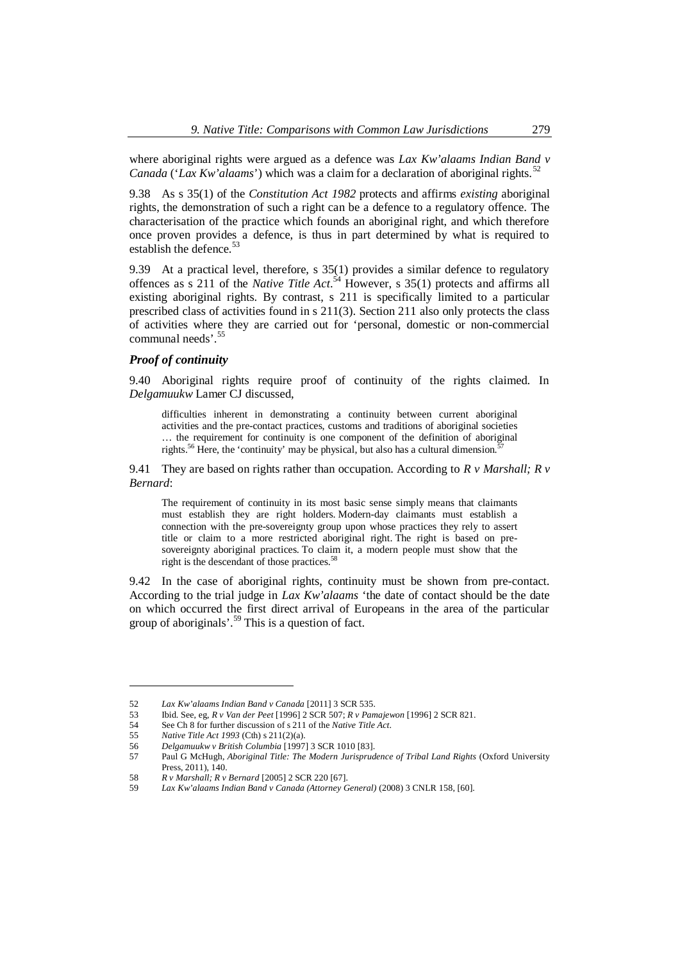where aboriginal rights were argued as a defence was *Lax Kw'alaams Indian Band v Canada* ('*Lax Kw'alaams*') which was a claim for a declaration of aboriginal rights.<sup>5[2](#page-8-0)</sup>

9.38 As s 35(1) of the *Constitution Act 1982* protects and affirms *existing* aboriginal rights, the demonstration of such a right can be a defence to a regulatory offence. The characterisation of the practice which founds an aboriginal right, and which therefore once proven provides a defence, is thus in part determined by what is required to establish the defence.<sup>[53](#page-8-1)</sup>

9.39 At a practical level, therefore, s 35(1) provides a similar defence to regulatory offences as s 211 of the *Native Title Act*.<sup>[54](#page-8-2)</sup> However, s 35(1) protects and affirms all existing aboriginal rights. By contrast, s 211 is specifically limited to a particular prescribed class of activities found in s 211(3). Section 211 also only protects the class of activities where they are carried out for 'personal, domestic or non-commercial communal needs'.<sup>[55](#page-8-3)</sup>

#### *Proof of continuity*

9.40 Aboriginal rights require proof of continuity of the rights claimed. In *Delgamuukw* Lamer CJ discussed,

difficulties inherent in demonstrating a continuity between current aboriginal activities and the pre-contact practices, customs and traditions of aboriginal societies … the requirement for continuity is one component of the definition of aboriginal rights.<sup>[56](#page-8-4)</sup> Here, the 'continuity' may be physical, but also has a cultural dimension.

9.41 They are based on rights rather than occupation. According to *R v Marshall; R v Bernard*:

The requirement of continuity in its most basic sense simply means that claimants must establish they are right holders. Modern-day claimants must establish a connection with the pre-sovereignty group upon whose practices they rely to assert title or claim to a more restricted aboriginal right. The right is based on presovereignty aboriginal practices. To claim it, a modern people must show that the right is the descendant of those practices.<sup>5</sup>

9.42 In the case of aboriginal rights, continuity must be shown from pre-contact. According to the trial judge in *Lax Kw'alaams* 'the date of contact should be the date on which occurred the first direct arrival of Europeans in the area of the particular group of aboriginals'.<sup>[59](#page-8-7)</sup> This is a question of fact.

<span id="page-8-0"></span><sup>52</sup> *Lax Kw'alaams Indian Band v Canada* [2011] 3 SCR 535.

<span id="page-8-1"></span><sup>53</sup> Ibid. See, eg, *R v Van der Peet* [1996] 2 SCR 507; *R v Pamajewon* [1996] 2 SCR 821.

<span id="page-8-2"></span><sup>54</sup> See Ch 8 for further discussion of s 211 of the *Native Title Act*.

<span id="page-8-3"></span><sup>55</sup> *Native Title Act 1993* (Cth) s 211(2)(a).

<span id="page-8-4"></span><sup>56</sup> *Delgamuukw v British Columbia* [1997] 3 SCR 1010 [83].

<span id="page-8-5"></span><sup>57</sup> Paul G McHugh, *Aboriginal Title: The Modern Jurisprudence of Tribal Land Rights* (Oxford University

Press, 2011), 140.

<span id="page-8-6"></span><sup>58</sup> *R v Marshall; R v Bernard* [2005] 2 SCR 220 [67].

<span id="page-8-7"></span><sup>59</sup> *Lax Kw'alaams Indian Band v Canada (Attorney General)* (2008) 3 CNLR 158, [60].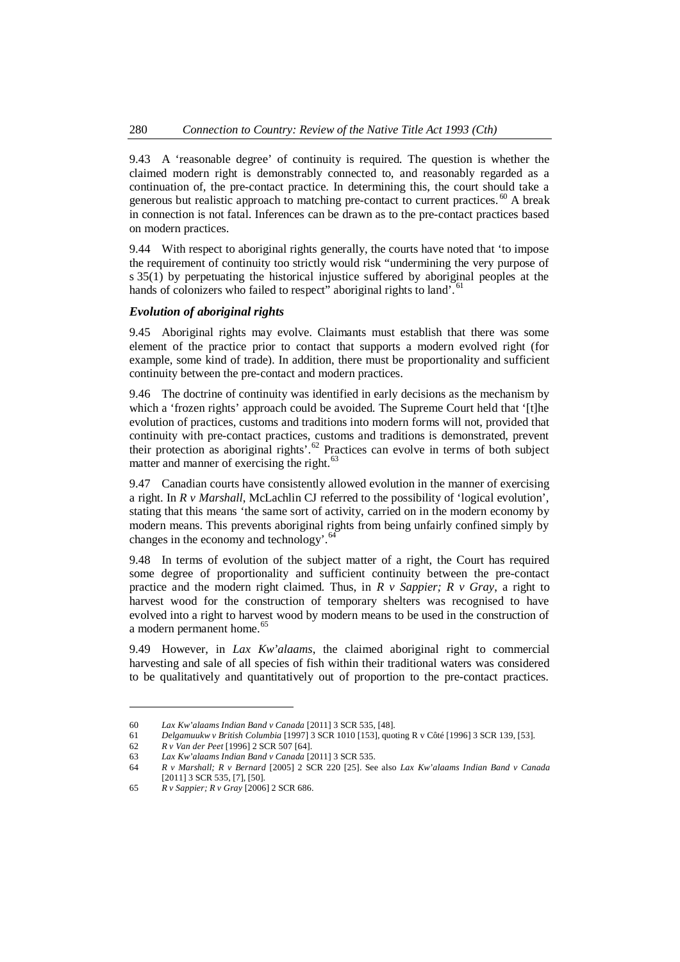9.43 A 'reasonable degree' of continuity is required. The question is whether the claimed modern right is demonstrably connected to, and reasonably regarded as a continuation of, the pre-contact practice. In determining this, the court should take a generous but realistic approach to matching pre-contact to current practices.  $60$  A break in connection is not fatal. Inferences can be drawn as to the pre-contact practices based on modern practices.

9.44 With respect to aboriginal rights generally, the courts have noted that 'to impose the requirement of continuity too strictly would risk "undermining the very purpose of s 35(1) by perpetuating the historical injustice suffered by aboriginal peoples at the hands of colonizers who failed to respect" aboriginal rights to land'. <sup>6[1](#page-9-1)</sup>

### *Evolution of aboriginal rights*

9.45 Aboriginal rights may evolve. Claimants must establish that there was some element of the practice prior to contact that supports a modern evolved right (for example, some kind of trade). In addition, there must be proportionality and sufficient continuity between the pre-contact and modern practices.

9.46 The doctrine of continuity was identified in early decisions as the mechanism by which a 'frozen rights' approach could be avoided. The Supreme Court held that '[t]he evolution of practices, customs and traditions into modern forms will not, provided that continuity with pre-contact practices, customs and traditions is demonstrated, prevent theirprotection as aboriginal rights'. $62$  Practices can evolve in terms of both subject matter and manner of exercising the right.<sup>[63](#page-9-3)</sup>

9.47 Canadian courts have consistently allowed evolution in the manner of exercising a right. In *R v Marshall*, McLachlin CJ referred to the possibility of 'logical evolution', stating that this means 'the same sort of activity, carried on in the modern economy by modern means. This prevents aboriginal rights from being unfairly confined simply by changes in the economy and technology'.<sup>[64](#page-9-4)</sup>

9.48 In terms of evolution of the subject matter of a right, the Court has required some degree of proportionality and sufficient continuity between the pre-contact practice and the modern right claimed. Thus, in *R v Sappier; R v Gray*, a right to harvest wood for the construction of temporary shelters was recognised to have evolved into a right to harvest wood by modern means to be used in the construction of a modern permanent home.<sup>[65](#page-9-5)</sup>

9.49 However, in *Lax Kw'alaams*, the claimed aboriginal right to commercial harvesting and sale of all species of fish within their traditional waters was considered to be qualitatively and quantitatively out of proportion to the pre-contact practices.

<span id="page-9-0"></span><sup>60</sup> *Lax Kw'alaams Indian Band v Canada* [2011] 3 SCR 535, [48].

<span id="page-9-1"></span><sup>61</sup> *Delgamuukw v British Columbia* [1997] 3 SCR 1010 [153], quoting R v Côté [1996] 3 SCR 139, [53].

<span id="page-9-2"></span><sup>62</sup> *R v Van der Peet* [1996] 2 SCR 507 [64].

<span id="page-9-3"></span><sup>63</sup> *Lax Kw'alaams Indian Band v Canada* [2011] 3 SCR 535.

<span id="page-9-4"></span><sup>64</sup> *R v Marshall; R v Bernard* [2005] 2 SCR 220 [25]. See also *Lax Kw'alaams Indian Band v Canada* [2011] 3 SCR 535, [7], [50].

<span id="page-9-5"></span><sup>65</sup> *R v Sappier; R v Gray* [2006] 2 SCR 686.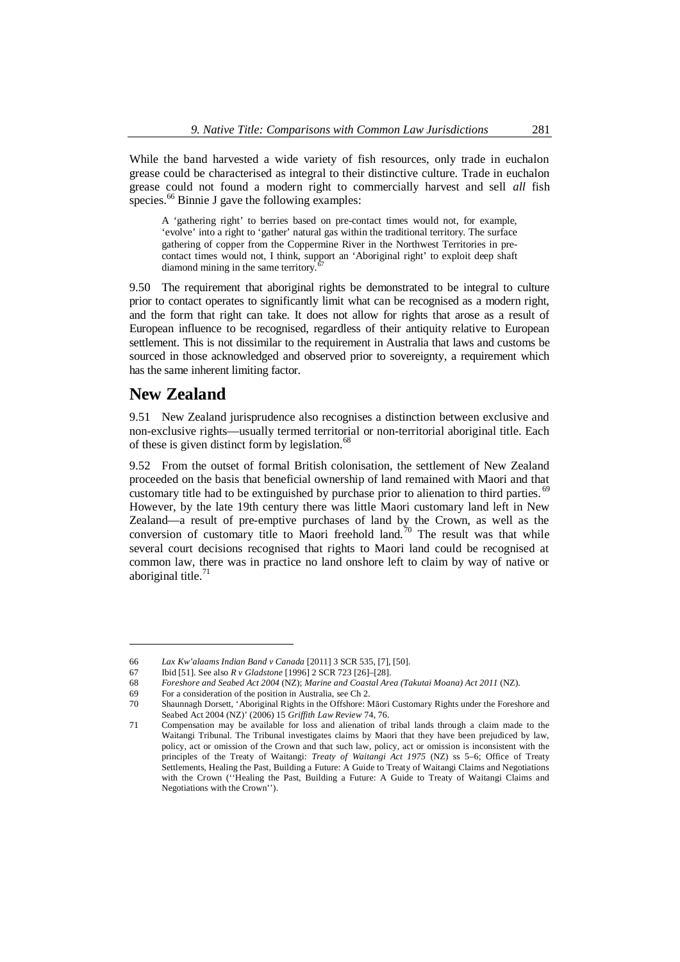While the band harvested a wide variety of fish resources, only trade in euchalon grease could be characterised as integral to their distinctive culture. Trade in euchalon grease could not found a modern right to commercially harvest and sell *all* fish species.<sup>[66](#page-10-1)</sup> Binnie J gave the following examples:

A 'gathering right' to berries based on pre-contact times would not, for example, 'evolve' into a right to 'gather' natural gas within the traditional territory. The surface gathering of copper from the Coppermine River in the Northwest Territories in precontact times would not, I think, support an 'Aboriginal right' to exploit deep shaft diamond mining in the same territory.

9.50 The requirement that aboriginal rights be demonstrated to be integral to culture prior to contact operates to significantly limit what can be recognised as a modern right, and the form that right can take. It does not allow for rights that arose as a result of European influence to be recognised, regardless of their antiquity relative to European settlement. This is not dissimilar to the requirement in Australia that laws and customs be sourced in those acknowledged and observed prior to sovereignty, a requirement which has the same inherent limiting factor.

# <span id="page-10-0"></span>**New Zealand**

9.51 New Zealand jurisprudence also recognises a distinction between exclusive and non-exclusive rights—usually termed territorial or non-territorial aboriginal title. Each of these is given distinct form by legislation.<sup>[68](#page-10-3)</sup>

9.52 From the outset of formal British colonisation, the settlement of New Zealand proceeded on the basis that beneficial ownership of land remained with Maori and that customary title had to be extinguished by purchase prior to alienation to third parties.  $\degree$ However, by the late 19th century there was little Maori customary land left in New Zealand—a result of pre-emptive purchases of land by the Crown, as well as the conversion of customary title to Maori freehold land.<sup>[70](#page-10-5)</sup> The result was that while several court decisions recognised that rights to Maori land could be recognised at common law, there was in practice no land onshore left to claim by way of native or aboriginal title.<sup>7</sup>

<span id="page-10-1"></span><sup>66</sup> *Lax Kw'alaams Indian Band v Canada* [2011] 3 SCR 535, [7], [50].

<span id="page-10-2"></span><sup>67</sup> Ibid [51]. See also *R v Gladstone* [1996] 2 SCR 723 [26]–[28].

<span id="page-10-3"></span><sup>68</sup> *Foreshore and Seabed Act 2004* (NZ); *Marine and Coastal Area (Takutai Moana) Act 2011* (NZ).

<span id="page-10-4"></span><sup>69</sup> For a consideration of the position in Australia, see Ch 2.

<span id="page-10-5"></span><sup>70</sup> Shaunnagh Dorsett, 'Aboriginal Rights in the Offshore: Māori Customary Rights under the Foreshore and Seabed Act 2004 (NZ)' (2006) 15 *Griffith Law Review* 74, 76.

<span id="page-10-6"></span><sup>71</sup> Compensation may be available for loss and alienation of tribal lands through a claim made to the Waitangi Tribunal. The Tribunal investigates claims by Maori that they have been prejudiced by law, policy, act or omission of the Crown and that such law, policy, act or omission is inconsistent with the principles of the Treaty of Waitangi: *Treaty of Waitangi Act 1975* (NZ) ss 5–6; Office of Treaty Settlements, Healing the Past, Building a Future: A Guide to Treaty of Waitangi Claims and Negotiations with the Crown (''Healing the Past, Building a Future: A Guide to Treaty of Waitangi Claims and Negotiations with the Crown'').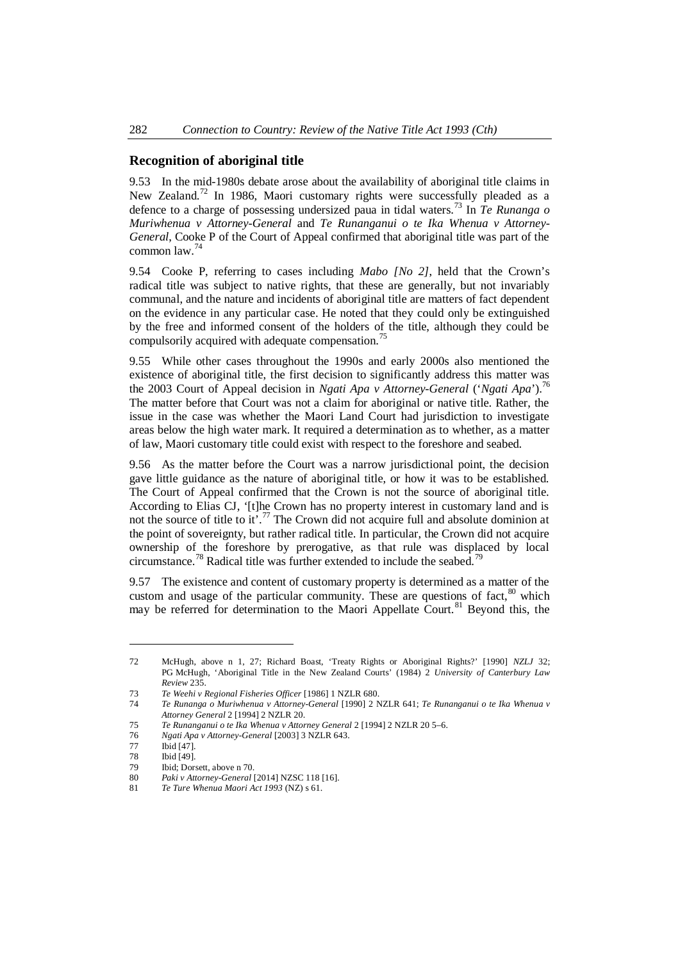# <span id="page-11-0"></span>**Recognition of aboriginal title**

9.53 In the mid-1980s debate arose about the availability of aboriginal title claims in New Zealand.<sup>[72](#page-11-1)</sup> In 1986, Maori customary rights were successfully pleaded as a defence to a charge of possessing undersized paua in tidal waters.[73](#page-11-2) In *Te Runanga o Muriwhenua v Attorney-General* and *Te Runanganui o te Ika Whenua v Attorney-General*, Cooke P of the Court of Appeal confirmed that aboriginal title was part of the common law.[74](#page-11-3)

9.54 Cooke P, referring to cases including *Mabo [No 2]*, held that the Crown's radical title was subject to native rights, that these are generally, but not invariably communal, and the nature and incidents of aboriginal title are matters of fact dependent on the evidence in any particular case. He noted that they could only be extinguished by the free and informed consent of the holders of the title, although they could be compulsorily acquired with adequate compensation.<sup>7</sup>

9.55 While other cases throughout the 1990s and early 2000s also mentioned the existence of aboriginal title, the first decision to significantly address this matter was the 2003 Court of Appeal decision in *Ngati Apa v Attorney-General* ('*Ngati Apa*').[76](#page-11-5) The matter before that Court was not a claim for aboriginal or native title. Rather, the issue in the case was whether the Maori Land Court had jurisdiction to investigate areas below the high water mark. It required a determination as to whether, as a matter of law, Maori customary title could exist with respect to the foreshore and seabed.

9.56 As the matter before the Court was a narrow jurisdictional point, the decision gave little guidance as the nature of aboriginal title, or how it was to be established. The Court of Appeal confirmed that the Crown is not the source of aboriginal title. According to Elias CJ, '[t]he Crown has no property interest in customary land and is not the source of title to it'.<sup>[77](#page-11-6)</sup> The Crown did not acquire full and absolute dominion at the point of sovereignty, but rather radical title. In particular, the Crown did not acquire ownership of the foreshore by prerogative, as that rule was displaced by local circumstance.<sup>[78](#page-11-7)</sup> Radical title was further extended to include the seabed.<sup>78</sup>

9.57 The existence and content of customary property is determined as a matter of the custom and usage of the particular community. These are questions of fact,  $80$  which may be referred for determination to the Maori Appellate Court.<sup>[81](#page-11-10)</sup> Beyond this, the

<span id="page-11-1"></span><sup>72</sup> McHugh, above n 1, 27; Richard Boast, 'Treaty Rights or Aboriginal Rights?' [1990] *NZLJ* 32; PG McHugh, 'Aboriginal Title in the New Zealand Courts' (1984) 2 *University of Canterbury Law Review* 235.

<span id="page-11-2"></span><sup>73</sup> *Te Weehi v Regional Fisheries Officer* [1986] 1 NZLR 680.

<span id="page-11-3"></span><sup>74</sup> *Te Runanga o Muriwhenua v Attorney-General* [1990] 2 NZLR 641; *Te Runanganui o te Ika Whenua v Attorney General* 2 [1994] 2 NZLR 20.

<span id="page-11-4"></span><sup>75</sup> *Te Runanganui o te Ika Whenua v Attorney General* 2 [1994] 2 NZLR 20 5–6.

<span id="page-11-5"></span><sup>76</sup> *Ngati Apa v Attorney-General* [2003] 3 NZLR 643.

<span id="page-11-6"></span><sup>77</sup> Ibid [47].<br>78 Ibid [49].

<span id="page-11-7"></span>Ibid [49].

<span id="page-11-8"></span><sup>79</sup> Ibid; Dorsett, above n 70.

<span id="page-11-9"></span><sup>80</sup> *Paki v Attorney-General* [2014] NZSC 118 [16].

<span id="page-11-10"></span><sup>81</sup> *Te Ture Whenua Maori Act 1993* (NZ) s 61.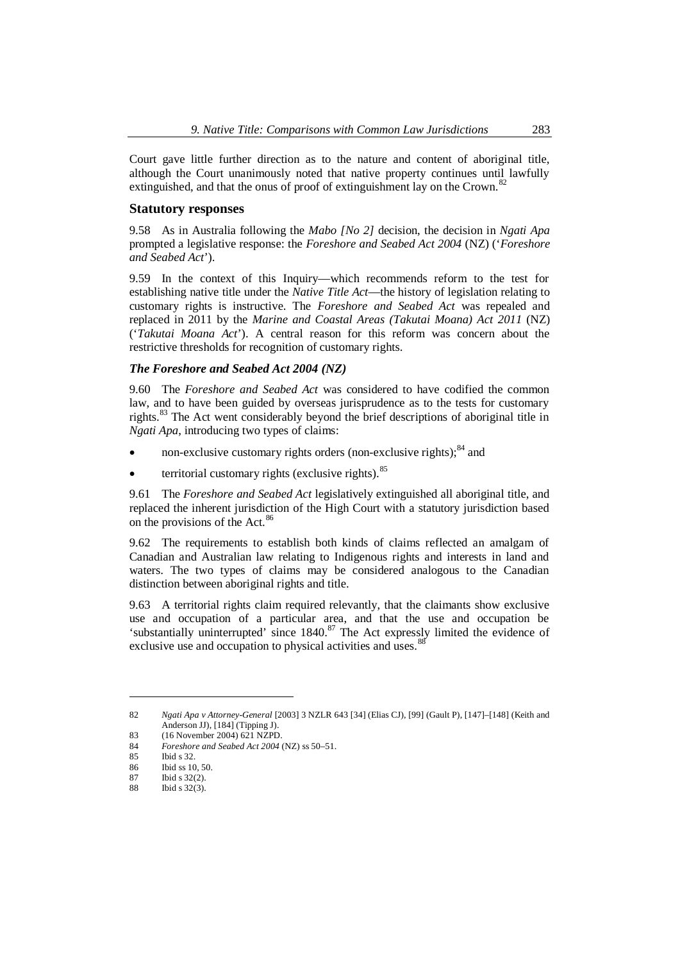Court gave little further direction as to the nature and content of aboriginal title, although the Court unanimously noted that native property continues until lawfully extinguished, and that the onus of proof of extinguishment lay on the Crown.<sup>8</sup>

#### <span id="page-12-0"></span>**Statutory responses**

9.58 As in Australia following the *Mabo [No 2]* decision, the decision in *Ngati Apa* prompted a legislative response: the *Foreshore and Seabed Act 2004* (NZ) ('*Foreshore and Seabed Act*').

9.59 In the context of this Inquiry—which recommends reform to the test for establishing native title under the *Native Title Act*—the history of legislation relating to customary rights is instructive. The *Foreshore and Seabed Act* was repealed and replaced in 2011 by the *Marine and Coastal Areas (Takutai Moana) Act 2011* (NZ) ('*Takutai Moana Act*'). A central reason for this reform was concern about the restrictive thresholds for recognition of customary rights.

### *The Foreshore and Seabed Act 2004 (NZ)*

9.60 The *Foreshore and Seabed Act* was considered to have codified the common law, and to have been guided by overseas jurisprudence as to the tests for customary rights.[83](#page-12-2) The Act went considerably beyond the brief descriptions of aboriginal title in *Ngati Apa*, introducing two types of claims:

- non-exclusive customary rights orders (non-exclusive rights);<sup>[84](#page-12-3)</sup> and
- territorial customary rights (exclusive rights). $85$

9.61 The *Foreshore and Seabed Act* legislatively extinguished all aboriginal title, and replaced the inherent jurisdiction of the High Court with a statutory jurisdiction based on the provisions of the Act.<sup>[86](#page-12-5)</sup>

9.62 The requirements to establish both kinds of claims reflected an amalgam of Canadian and Australian law relating to Indigenous rights and interests in land and waters. The two types of claims may be considered analogous to the Canadian distinction between aboriginal rights and title.

9.63 A territorial rights claim required relevantly, that the claimants show exclusive use and occupation of a particular area, and that the use and occupation be 'substantially uninterrupted' since 1840.<sup>[87](#page-12-6)</sup> The Act expressly limited the evidence of exclusive use and occupation to physical activities and uses.<sup>[88](#page-12-7)</sup>

<span id="page-12-1"></span><sup>82</sup> *Ngati Apa v Attorney-General* [2003] 3 NZLR 643 [34] (Elias CJ), [99] (Gault P), [147]–[148] (Keith and Anderson JJ), [184] (Tipping J).

<span id="page-12-2"></span><sup>83</sup> (16 November 2004) 621 NZPD.

<span id="page-12-3"></span><sup>84</sup> *Foreshore and Seabed Act 2004* (NZ) ss 50–51.

<span id="page-12-4"></span>Ibid s 32.

<span id="page-12-5"></span><sup>86</sup> Ibid ss 10, 50.

<span id="page-12-6"></span><sup>87</sup> Ibid s 32(2).

<span id="page-12-7"></span><sup>88</sup> Ibid s 32(3).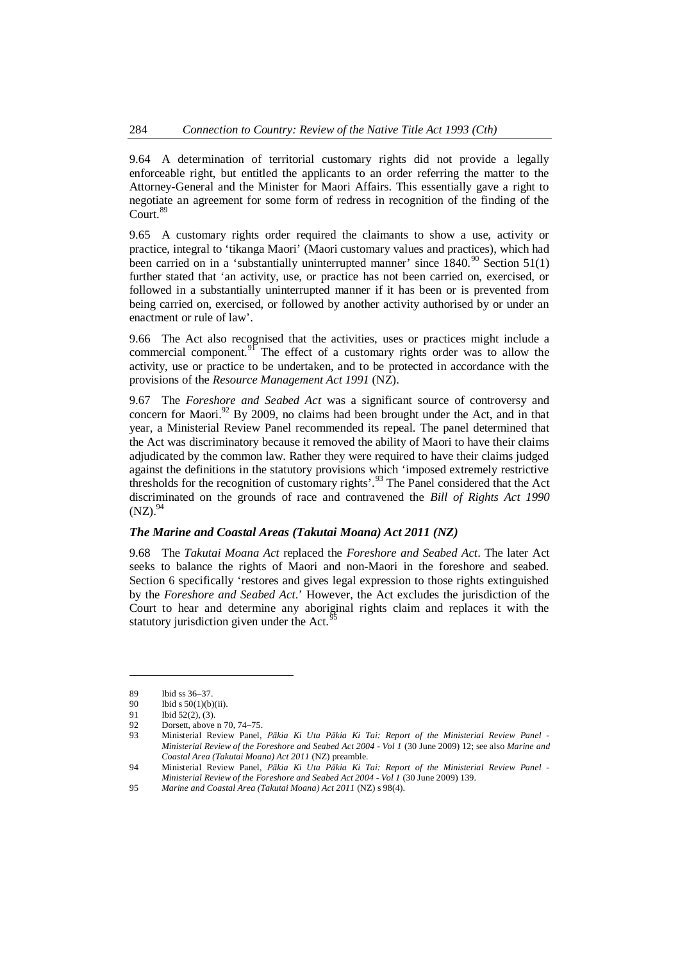9.64 A determination of territorial customary rights did not provide a legally enforceable right, but entitled the applicants to an order referring the matter to the Attorney-General and the Minister for Maori Affairs. This essentially gave a right to negotiate an agreement for some form of redress in recognition of the finding of the Court.<sup>[89](#page-13-0)</sup>

9.65 A customary rights order required the claimants to show a use, activity or practice, integral to 'tikanga Maori' (Maori customary values and practices), which had been carried on in a 'substantially uninterrupted manner' since  $1840$ .<sup>[90](#page-13-1)</sup> Section 51(1) further stated that 'an activity, use, or practice has not been carried on, exercised, or followed in a substantially uninterrupted manner if it has been or is prevented from being carried on, exercised, or followed by another activity authorised by or under an enactment or rule of law'.

9.66 The Act also recognised that the activities, uses or practices might include a commercial component.<sup>[91](#page-13-2)</sup> The effect of a customary rights order was to allow the activity, use or practice to be undertaken, and to be protected in accordance with the provisions of the *Resource Management Act 1991* (NZ).

9.67 The *Foreshore and Seabed Act* was a significant source of controversy and concern for Maori. $92$  By 2009, no claims had been brought under the Act, and in that year, a Ministerial Review Panel recommended its repeal. The panel determined that the Act was discriminatory because it removed the ability of Maori to have their claims adjudicated by the common law. Rather they were required to have their claims judged against the definitions in the statutory provisions which 'imposed extremely restrictive thresholds for the recognition of customary rights'.<sup>[93](#page-13-4)</sup> The Panel considered that the Act discriminated on the grounds of race and contravened the *Bill of Rights Act 1990*  $(NZ).^{94}$  $(NZ).^{94}$  $(NZ).^{94}$ 

#### *The Marine and Coastal Areas (Takutai Moana) Act 2011 (NZ)*

9.68 The *Takutai Moana Act* replaced the *Foreshore and Seabed Act*. The later Act seeks to balance the rights of Maori and non-Maori in the foreshore and seabed. Section 6 specifically 'restores and gives legal expression to those rights extinguished by the *Foreshore and Seabed Act*.' However, the Act excludes the jurisdiction of the Court to hear and determine any aboriginal rights claim and replaces it with the statutory jurisdiction given under the Act.<sup>9</sup>

<span id="page-13-0"></span><sup>89</sup> Ibid ss 36–37.

<span id="page-13-1"></span><sup>90</sup> Ibid s 50(1)(b)(ii).

<span id="page-13-2"></span><sup>91</sup> Ibid 52(2), (3).

<span id="page-13-3"></span><sup>92</sup> Dorsett, above n 70, 74–75.

<span id="page-13-4"></span><sup>93</sup> Ministerial Review Panel, *Pākia Ki Uta Pākia Ki Tai: Report of the Ministerial Review Panel - Ministerial Review of the Foreshore and Seabed Act 2004 - Vol 1* (30 June 2009) 12; see also *Marine and Coastal Area (Takutai Moana) Act 2011* (NZ) preamble.

<span id="page-13-5"></span><sup>94</sup> Ministerial Review Panel, *Pākia Ki Uta Pākia Ki Tai: Report of the Ministerial Review Panel - Ministerial Review of the Foreshore and Seabed Act 2004 - Vol 1* (30 June 2009) 139.

<span id="page-13-6"></span><sup>95</sup> *Marine and Coastal Area (Takutai Moana) Act 2011* (NZ) s 98(4).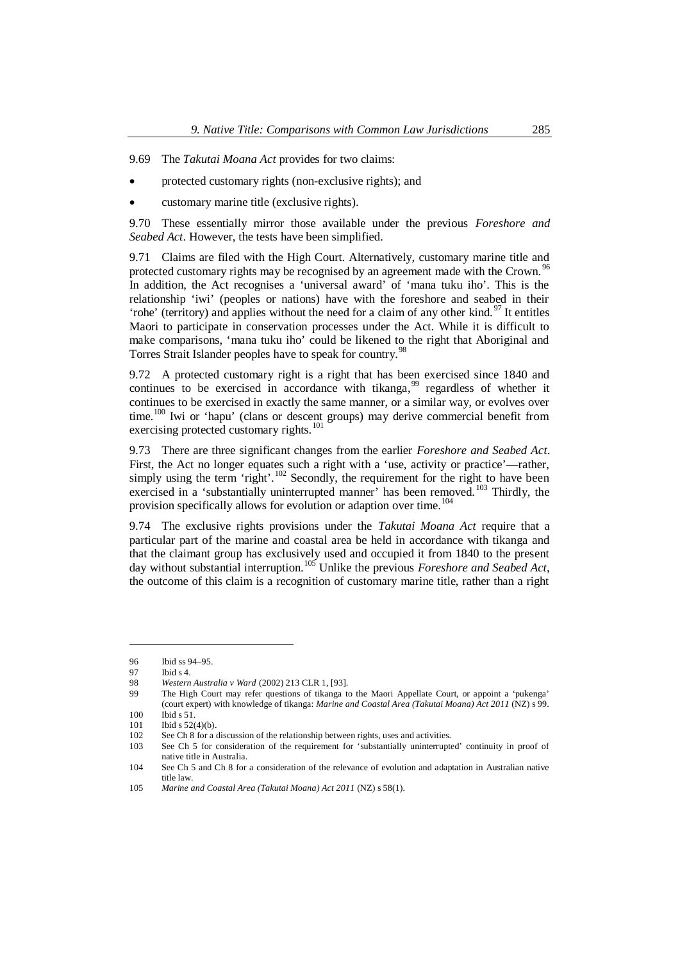9.69 The *Takutai Moana Act* provides for two claims:

- protected customary rights (non-exclusive rights); and
- customary marine title (exclusive rights).

9.70 These essentially mirror those available under the previous *Foreshore and Seabed Act*. However, the tests have been simplified.

9.71 Claims are filed with the High Court. Alternatively, customary marine title and protected customary rights may be recognised by an agreement made with the Crown.<sup>[96](#page-14-0)</sup> In addition, the Act recognises a 'universal award' of 'mana tuku iho'. This is the relationship 'iwi' (peoples or nations) have with the foreshore and seabed in their 'rohe' (territory) and applies without the need for a claim of any other kind.  $97$  It entitles Maori to participate in conservation processes under the Act. While it is difficult to make comparisons, 'mana tuku iho' could be likened to the right that Aboriginal and Torres Strait Islander peoples have to speak for country.<sup>9</sup>

9.72 A protected customary right is a right that has been exercised since 1840 and continues to be exercised in accordance with tikanga,<sup>[99](#page-14-3)</sup> regardless of whether it continues to be exercised in exactly the same manner, or a similar way, or evolves over time.<sup>[100](#page-14-4)</sup> Iwi or 'hapu' (clans or descent groups) may derive commercial benefit from exercising protected customary rights.<sup>[101](#page-14-5)</sup>

9.73 There are three significant changes from the earlier *Foreshore and Seabed Act*. First, the Act no longer equates such a right with a 'use, activity or practice'—rather, simply using the term 'right'.<sup>[102](#page-14-6)</sup> Secondly, the requirement for the right to have been exercised in a 'substantially uninterrupted manner' has been removed.<sup>[103](#page-14-7)</sup> Thirdly, the provision specifically allows for evolution or adaption over time.<sup>[104](#page-14-8)</sup>

9.74 The exclusive rights provisions under the *Takutai Moana Act* require that a particular part of the marine and coastal area be held in accordance with tikanga and that the claimant group has exclusively used and occupied it from 1840 to the present day without substantial interruption.[105](#page-14-9) Unlike the previous *Foreshore and Seabed Act*, the outcome of this claim is a recognition of customary marine title, rather than a right

<span id="page-14-0"></span><sup>96</sup> Ibid ss 94–95.

<span id="page-14-1"></span><sup>97</sup> Ibid s 4.

<span id="page-14-2"></span><sup>98</sup> *Western Australia v Ward* (2002) 213 CLR 1, [93].

<span id="page-14-3"></span>The High Court may refer questions of tikanga to the Maori Appellate Court, or appoint a 'pukenga' (court expert) with knowledge of tikanga: *Marine and Coastal Area (Takutai Moana) Act 2011* (NZ) s 99. 100 Ibid s 51.

<span id="page-14-5"></span><span id="page-14-4"></span><sup>101</sup> **Ibid s** 52(4)(b).

<span id="page-14-6"></span><sup>102</sup> See Ch 8 for a discussion of the relationship between rights, uses and activities.

<span id="page-14-7"></span><sup>103</sup> See Ch 5 for consideration of the requirement for 'substantially uninterrupted' continuity in proof of native title in Australia.

<span id="page-14-8"></span><sup>104</sup> See Ch 5 and Ch 8 for a consideration of the relevance of evolution and adaptation in Australian native title law.

<span id="page-14-9"></span><sup>105</sup> *Marine and Coastal Area (Takutai Moana) Act 2011* (NZ) s 58(1).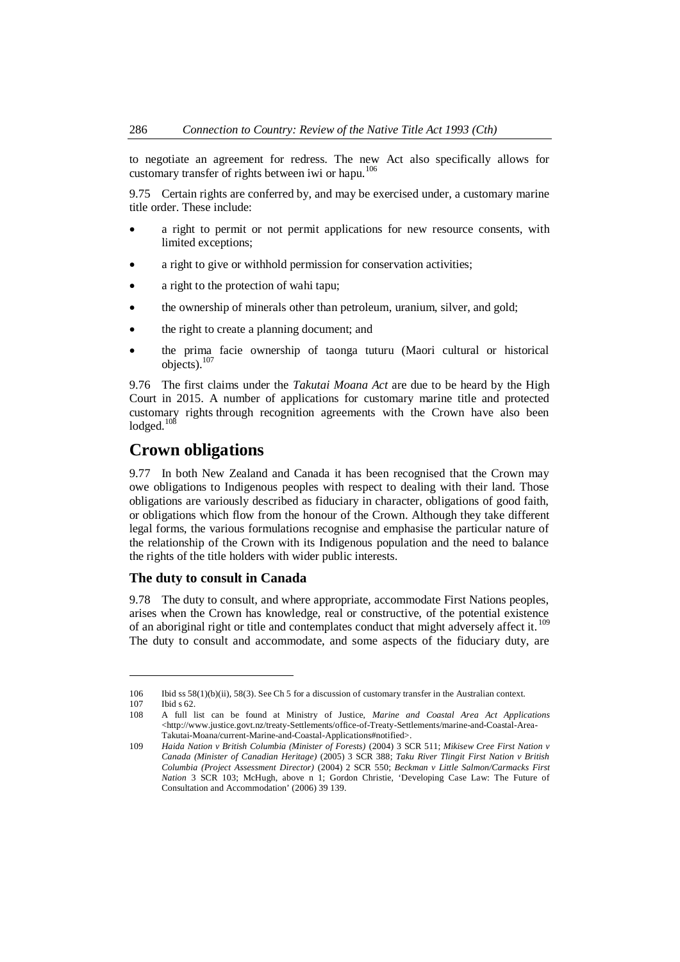to negotiate an agreement for redress. The new Act also specifically allows for customary transfer of rights between iwi or hapu.<sup>[106](#page-15-2)</sup>

9.75 Certain rights are conferred by, and may be exercised under, a customary marine title order. These include:

- · a right to permit or not permit applications for new resource consents, with limited exceptions;
- a right to give or withhold permission for conservation activities;
- a right to the protection of wahi tapu;
- · the ownership of minerals other than petroleum, uranium, silver, and gold;
- the right to create a planning document; and
- · the prima facie ownership of taonga tuturu (Maori cultural or historical objects).<sup>[107](#page-15-3)</sup>

9.76 The first claims under the *Takutai Moana Act* are due to be heard by the High Court in 2015. A number of applications for customary marine title and protected customary rights through recognition agreements with the Crown have also been lodged.<sup>[108](#page-15-4)</sup>

# <span id="page-15-0"></span>**Crown obligations**

9.77 In both New Zealand and Canada it has been recognised that the Crown may owe obligations to Indigenous peoples with respect to dealing with their land. Those obligations are variously described as fiduciary in character, obligations of good faith, or obligations which flow from the honour of the Crown. Although they take different legal forms, the various formulations recognise and emphasise the particular nature of the relationship of the Crown with its Indigenous population and the need to balance the rights of the title holders with wider public interests.

### <span id="page-15-1"></span>**The duty to consult in Canada**

9.78 The duty to consult, and where appropriate, accommodate First Nations peoples, arises when the Crown has knowledge, real or constructive, of the potential existence of an aboriginal right or title and contemplates conduct that might adversely affect it.<sup>[109](#page-15-5)</sup> The duty to consult and accommodate, and some aspects of the fiduciary duty, are

<span id="page-15-2"></span><sup>106</sup> Ibid ss 58(1)(b)(ii), 58(3). See Ch 5 for a discussion of customary transfer in the Australian context. 107 Ibid s 62.

<span id="page-15-4"></span><span id="page-15-3"></span>

<sup>108</sup> A full list can be found at Ministry of Justice, *Marine and Coastal Area Act Applications* <http://www.justice.govt.nz/treaty-Settlements/office-of-Treaty-Settlements/marine-and-Coastal-Area-Takutai-Moana/current-Marine-and-Coastal-Applications#notified>.

<span id="page-15-5"></span><sup>109</sup> *Haida Nation v British Columbia (Minister of Forests)* (2004) 3 SCR 511; *Mikisew Cree First Nation v Canada (Minister of Canadian Heritage)* (2005) 3 SCR 388; *Taku River Tlingit First Nation v British Columbia (Project Assessment Director)* (2004) 2 SCR 550; *Beckman v Little Salmon/Carmacks First Nation* 3 SCR 103; McHugh, above n 1; Gordon Christie, 'Developing Case Law: The Future of Consultation and Accommodation' (2006) 39 139.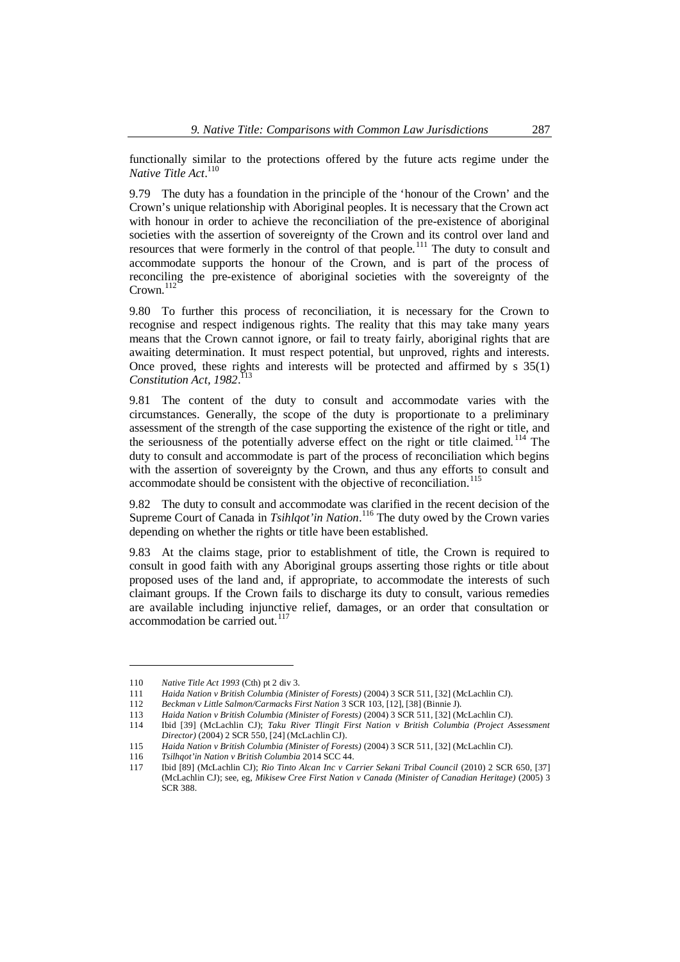functionally similar to the protections offered by the future acts regime under the *Native Title Act*. [110](#page-16-0)

9.79 The duty has a foundation in the principle of the 'honour of the Crown' and the Crown's unique relationship with Aboriginal peoples. It is necessary that the Crown act with honour in order to achieve the reconciliation of the pre-existence of aboriginal societies with the assertion of sovereignty of the Crown and its control over land and resources that were formerly in the control of that people.<sup>[111](#page-16-1)</sup> The duty to consult and accommodate supports the honour of the Crown, and is part of the process of reconciling the pre-existence of aboriginal societies with the sovereignty of the Crown.<sup>[112](#page-16-2)</sup>

9.80 To further this process of reconciliation, it is necessary for the Crown to recognise and respect indigenous rights. The reality that this may take many years means that the Crown cannot ignore, or fail to treaty fairly, aboriginal rights that are awaiting determination. It must respect potential, but unproved, rights and interests. Once proved, these rights and interests will be protected and affirmed by s 35(1) Constitution Act, 1982.<sup>[113](#page-16-3)</sup>

9.81 The content of the duty to consult and accommodate varies with the circumstances. Generally, the scope of the duty is proportionate to a preliminary assessment of the strength of the case supporting the existence of the right or title, and the seriousness of the potentially adverse effect on the right or title claimed. [114](#page-16-4) The duty to consult and accommodate is part of the process of reconciliation which begins with the assertion of sovereignty by the Crown, and thus any efforts to consult and accommodate should be consistent with the objective of reconciliation.<sup>11</sup>

9.82 The duty to consult and accommodate was clarified in the recent decision of the Supreme Court of Canada in *Tsihlqot'in Nation*.<sup>[116](#page-16-6)</sup> The duty owed by the Crown varies depending on whether the rights or title have been established.

9.83 At the claims stage, prior to establishment of title, the Crown is required to consult in good faith with any Aboriginal groups asserting those rights or title about proposed uses of the land and, if appropriate, to accommodate the interests of such claimant groups. If the Crown fails to discharge its duty to consult, various remedies are available including injunctive relief, damages, or an order that consultation or accommodation be carried out. $117$ 

<span id="page-16-0"></span><sup>110</sup> *Native Title Act 1993* (Cth) pt 2 div 3.

<span id="page-16-1"></span><sup>111</sup> *Haida Nation v British Columbia (Minister of Forests)* (2004) 3 SCR 511, [32] (McLachlin CJ).

<span id="page-16-2"></span><sup>112</sup> *Beckman v Little Salmon/Carmacks First Nation* 3 SCR 103, [12], [38] (Binnie J).

<span id="page-16-3"></span><sup>113</sup> *Haida Nation v British Columbia (Minister of Forests)* (2004) 3 SCR 511, [32] (McLachlin CJ).

<span id="page-16-4"></span><sup>114</sup> Ibid [39] (McLachlin CJ); *Taku River Tlingit First Nation v British Columbia (Project Assessment Director)* (2004) 2 SCR 550, [24] (McLachlin CJ).

<span id="page-16-5"></span><sup>115</sup> *Haida Nation v British Columbia (Minister of Forests)* (2004) 3 SCR 511, [32] (McLachlin CJ).

<span id="page-16-6"></span><sup>116</sup> *Tsilhqot'in Nation v British Columbia* 2014 SCC 44.

<span id="page-16-7"></span><sup>117</sup> Ibid [89] (McLachlin CJ); *Rio Tinto Alcan Inc v Carrier Sekani Tribal Council* (2010) 2 SCR 650, [37] (McLachlin CJ); see, eg, *Mikisew Cree First Nation v Canada (Minister of Canadian Heritage)* (2005) 3 SCR 388.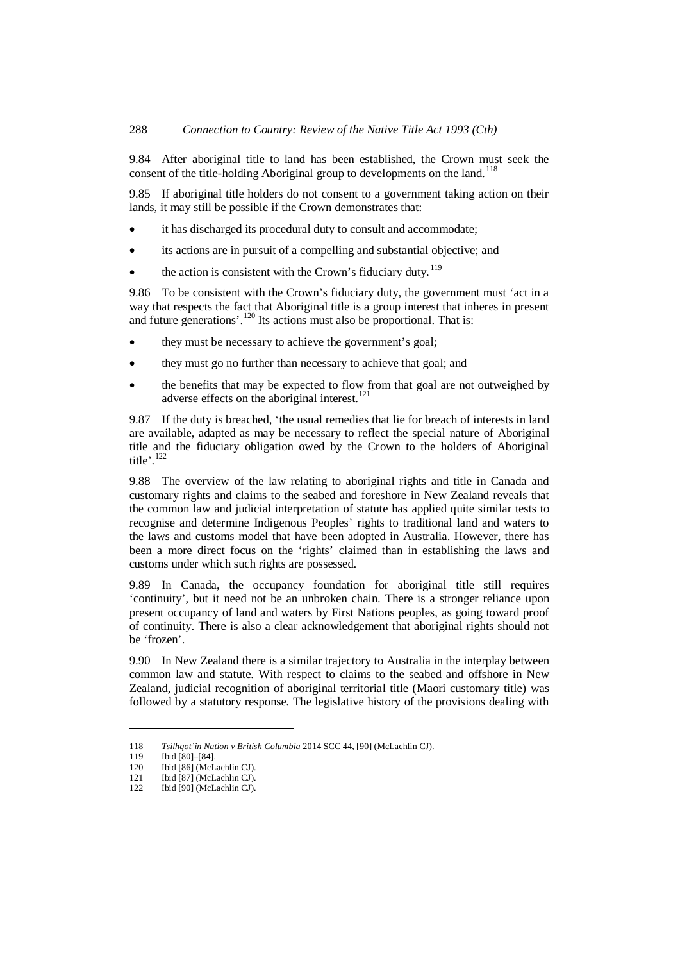9.84 After aboriginal title to land has been established, the Crown must seek the consent of the title-holding Aboriginal group to developments on the land.<sup>1[18](#page-17-0)</sup>

9.85 If aboriginal title holders do not consent to a government taking action on their lands, it may still be possible if the Crown demonstrates that:

- it has discharged its procedural duty to consult and accommodate;
- its actions are in pursuit of a compelling and substantial objective; and
- the action is consistent with the Crown's fiduciary duty.<sup>[119](#page-17-1)</sup>

9.86 To be consistent with the Crown's fiduciary duty, the government must 'act in a way that respects the fact that Aboriginal title is a group interest that inheres in present and future generations'.<sup>[120](#page-17-2)</sup> Its actions must also be proportional. That is:

- they must be necessary to achieve the government's goal;
- they must go no further than necessary to achieve that goal; and
- the benefits that may be expected to flow from that goal are not outweighed by adverse effects on the aboriginal interest.<sup>[121](#page-17-3)</sup>

9.87 If the duty is breached, 'the usual remedies that lie for breach of interests in land are available, adapted as may be necessary to reflect the special nature of Aboriginal title and the fiduciary obligation owed by the Crown to the holders of Aboriginal title'.<sup>[122](#page-17-4)</sup>

9.88 The overview of the law relating to aboriginal rights and title in Canada and customary rights and claims to the seabed and foreshore in New Zealand reveals that the common law and judicial interpretation of statute has applied quite similar tests to recognise and determine Indigenous Peoples' rights to traditional land and waters to the laws and customs model that have been adopted in Australia. However, there has been a more direct focus on the 'rights' claimed than in establishing the laws and customs under which such rights are possessed.

9.89 In Canada, the occupancy foundation for aboriginal title still requires 'continuity', but it need not be an unbroken chain. There is a stronger reliance upon present occupancy of land and waters by First Nations peoples, as going toward proof of continuity. There is also a clear acknowledgement that aboriginal rights should not be 'frozen'.

9.90 In New Zealand there is a similar trajectory to Australia in the interplay between common law and statute. With respect to claims to the seabed and offshore in New Zealand, judicial recognition of aboriginal territorial title (Maori customary title) was followed by a statutory response. The legislative history of the provisions dealing with

<span id="page-17-0"></span><sup>118</sup> *Tsilhqot'in Nation v British Columbia* 2014 SCC 44, [90] (McLachlin CJ).

<span id="page-17-1"></span><sup>119</sup> Ibid [80]–[84].

<span id="page-17-2"></span><sup>120</sup> Ibid [86] (McLachlin CJ).

<span id="page-17-3"></span><sup>121</sup> Ibid [87] (McLachlin CJ).

<span id="page-17-4"></span><sup>122</sup> Ibid [90] (McLachlin CJ).